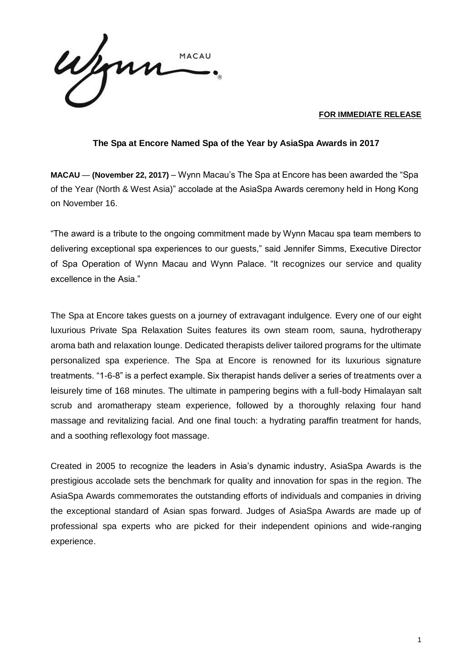ymn MACAU

## **FOR IMMEDIATE RELEASE**

## **The Spa at Encore Named Spa of the Year by AsiaSpa Awards in 2017**

**MACAU** — **(November 22, 2017)** – Wynn Macau's The Spa at Encore has been awarded the "Spa of the Year (North & West Asia)" accolade at the AsiaSpa Awards ceremony held in Hong Kong on November 16.

"The award is a tribute to the ongoing commitment made by Wynn Macau spa team members to delivering exceptional spa experiences to our guests," said Jennifer Simms, Executive Director of Spa Operation of Wynn Macau and Wynn Palace. "It recognizes our service and quality excellence in the Asia."

The Spa at Encore takes guests on a journey of extravagant indulgence. Every one of our eight luxurious Private Spa Relaxation Suites features its own steam room, sauna, hydrotherapy aroma bath and relaxation lounge. Dedicated therapists deliver tailored programs for the ultimate personalized spa experience. The Spa at Encore is renowned for its luxurious signature treatments. "1-6-8" is a perfect example. Six therapist hands deliver a series of treatments over a leisurely time of 168 minutes. The ultimate in pampering begins with a full-body Himalayan salt scrub and aromatherapy steam experience, followed by a thoroughly relaxing four hand massage and revitalizing facial. And one final touch: a hydrating paraffin treatment for hands, and a soothing reflexology foot massage.

Created in 2005 to recognize the leaders in Asia's dynamic industry, AsiaSpa Awards is the prestigious accolade sets the benchmark for quality and innovation for spas in the region. The AsiaSpa Awards commemorates the outstanding efforts of individuals and companies in driving the exceptional standard of Asian spas forward. Judges of AsiaSpa Awards are made up of professional spa experts who are picked for their independent opinions and wide-ranging experience.